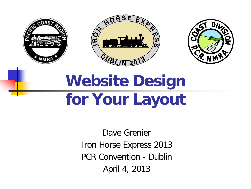





## **Website Design for Your Layout**

Dave Grenier Iron Horse Express 2013 PCR Convention - Dublin April 4, 2013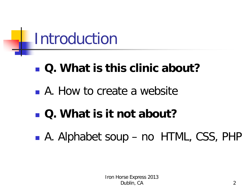

#### **Q. What is this clinic about?**

A. How to create a website

#### **Q. What is it not about?**

■ A. Alphabet soup – no HTML, CSS, PHP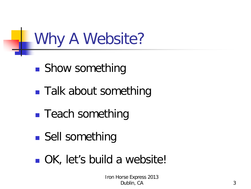#### Why A Website?

- Show something
- **Talk about something**
- **Teach something**
- Sell something
- **OK**, let's build a website!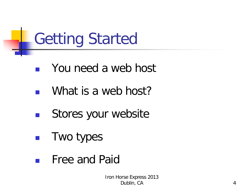# Getting Started

- **Nou need a web host**
- What is a web host?
- **Stores your website**
- **Two types**
- Free and Paid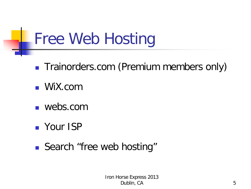# Free Web Hosting

- **Trainorders.com (Premium members only)**
- **WiX.com**
- webs.com
- **Nour ISP**
- Search "free web hosting"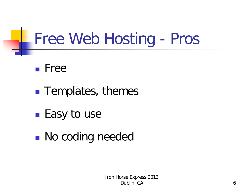#### Free Web Hosting - Pros

- Free
- **Templates, themes**
- Easy to use
- **No coding needed**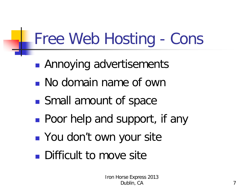# Free Web Hosting - Cons

- **Annoying advertisements**
- No domain name of own
- Small amount of space
- **Poor help and support, if any**
- **Part You don't own your site**
- **Difficult to move site**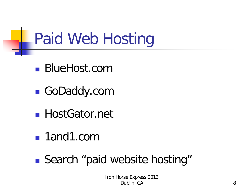## Paid Web Hosting

- BlueHost.com
- GoDaddy.com
- HostGator.net
- 1and1.com
- Search "paid website hosting"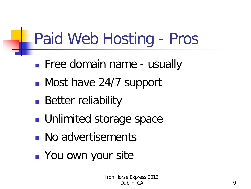# Paid Web Hosting - Pros

- **Filter Free domain name usually**
- Most have 24/7 support
- **Better reliability**
- **Unlimited storage space**
- **No advertisements**
- **Nou own your site**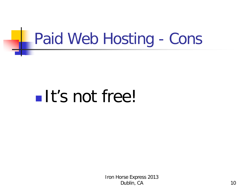## Paid Web Hosting - Cons

# **It's not free!**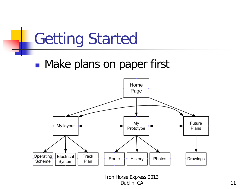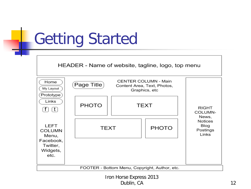## Getting Started

HEADER - Name of website, tagline, logo, top menu

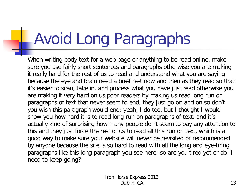# Avoid Long Paragraphs

When writing body text for a web page or anything to be read online, make sure you use fairly short sentences and paragraphs otherwise you are making it really hard for the rest of us to read and understand what you are saying because the eye and brain need a brief rest now and then as they read so that it's easier to scan, take in, and process what you have just read otherwise you are making it very hard on us poor readers by making us read long run on paragraphs of text that never seem to end, they just go on and on so don't you wish this paragraph would end; yeah, I do too, but I thought I would show you how hard it is to read long run on paragraphs of text, and it's actually kind of surprising how many people don't seem to pay any attention to this and they just force the rest of us to read all this run on text, which is a good way to make sure your website will never be revisited or recommended by anyone because the site is so hard to read with all the long and eye-tiring paragraphs like this long paragraph you see here; so are you tired yet or do I need to keep going?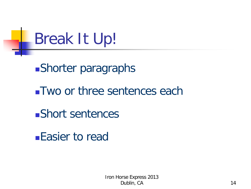

Two or three sentences each

Short sentences

Easier to read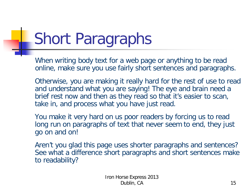# Short Paragraphs

When writing body text for a web page or anything to be read online, make sure you use fairly short sentences and paragraphs.

Otherwise, you are making it really hard for the rest of use to read and understand what you are saying! The eye and brain need a brief rest now and then as they read so that it's easier to scan, take in, and process what you have just read.

You make it very hard on us poor readers by forcing us to read long run on paragraphs of text that never seem to end, they just go on and on!

Aren't you glad this page uses shorter paragraphs and sentences? See what a difference short paragraphs and short sentences make to readability?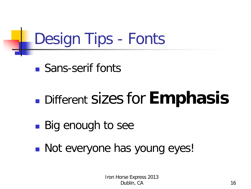# Design Tips - Fonts

■ Sans-serif fonts

## Different sizes for **Emphasis**

- Big enough to see
- **Not everyone has young eyes!**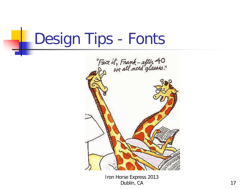### Design Tips - Fonts

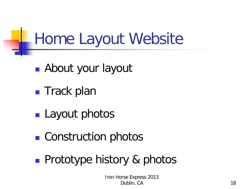### Home Layout Website

- **About your layout**
- **Track plan**
- **Layout photos**
- Construction photos
- **Prototype history & photos**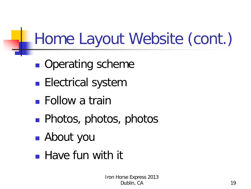# Home Layout Website (cont.)

- **Operating scheme**
- **Electrical system**
- Follow a train
- **Photos, photos, photos**
- About you
- **Have fun with it**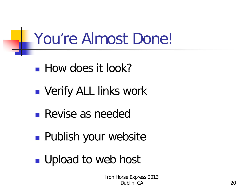## You're Almost Done!

- **How does it look?**
- **NAMIL Verify ALL links work**
- Revise as needed
- **Publish your website**
- **Upload to web host**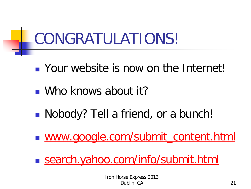## CONGRATULATIONS!

- **Notably** Your website is now on the Internet!
- Who knows about it?
- Nobody? Tell a friend, or a bunch!
- [www.google.com/submit\\_content.html](http://www.google.com/submit_content.html)
- search.yahoo.com/info/submit.html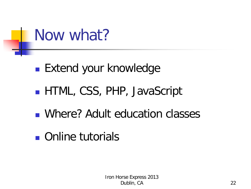

- **Extend your knowledge**
- **HTML, CSS, PHP, JavaScript**
- Where? Adult education classes
- **n** Online tutorials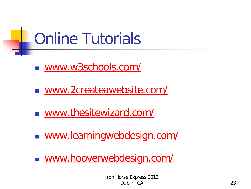# Online Tutorials

- [www.w3schools.com/](http://www.w3schools.com/)
- [www.2createawebsite.com/](http://www.webstyleguide.com/)
- [www.thesitewizard.com/](http://www.thesitewizard.com/)
- [www.learningwebdesign.com/](http://www.learningwebdesign.com/)
- [www.hooverwebdesign.com/](http://www.hooverwebdesign.com/)